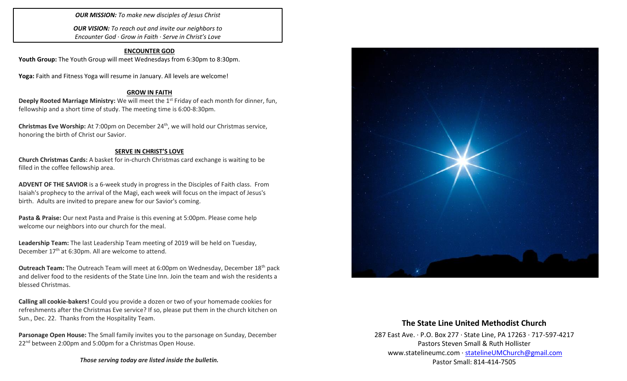#### *OUR MISSION: To make new disciples of Jesus Christ*

*OUR VISION: To reach out and invite our neighbors to Encounter God · Grow in Faith · Serve in Christ's Love*

### **ENCOUNTER GOD**

Youth Group: The Youth Group will meet Wednesdays from 6:30pm to 8:30pm.

**Yoga:** Faith and Fitness Yoga will resume in January. All levels are welcome!

#### **GROW IN FAITH**

**Deeply Rooted Marriage Ministry:** We will meet the 1<sup>st</sup> Friday of each month for dinner, fun, fellowship and a short time of study. The meeting time is 6:00-8:30pm.

**Christmas Eve Worship:** At 7:00pm on December 24th, we will hold our Christmas service, honoring the birth of Christ our Savior.

#### **SERVE IN CHRIST'S LOVE**

**Church Christmas Cards:** A basket for in-church Christmas card exchange is waiting to be filled in the coffee fellowship area.

**ADVENT OF THE SAVIOR** is a 6-week study in progress in the Disciples of Faith class. From Isaiah's prophecy to the arrival of the Magi, each week will focus on the impact of Jesus's birth. Adults are invited to prepare anew for our Savior's coming.

**Pasta & Praise:** Our next Pasta and Praise is this evening at 5:00pm. Please come help welcome our neighbors into our church for the meal.

**Leadership Team:** The last Leadership Team meeting of 2019 will be held on Tuesday, December 17<sup>th</sup> at 6:30pm. All are welcome to attend.

**Outreach Team:** The Outreach Team will meet at 6:00pm on Wednesday, December 18th pack and deliver food to the residents of the State Line Inn. Join the team and wish the residents a blessed Christmas.

**Calling all cookie-bakers!** Could you provide a dozen or two of your homemade cookies for refreshments after the Christmas Eve service? If so, please put them in the church kitchen on Sun., Dec. 22. Thanks from the Hospitality Team.

**Parsonage Open House:** The Small family invites you to the parsonage on Sunday, December 22<sup>nd</sup> between 2:00pm and 5:00pm for a Christmas Open House.

*Those serving today are listed inside the bulletin.*



## **The State Line United Methodist Church**

287 East Ave. · P.O. Box 277 · State Line, PA 17263 · 717-597-4217 Pastors Steven Small & Ruth Hollister [www.statelineumc.com](http://www.statelineumc.com/) · [statelineUMChurch@gmail.com](mailto:statelineUMChurch@gmail.com) Pastor Small: 814-414-7505